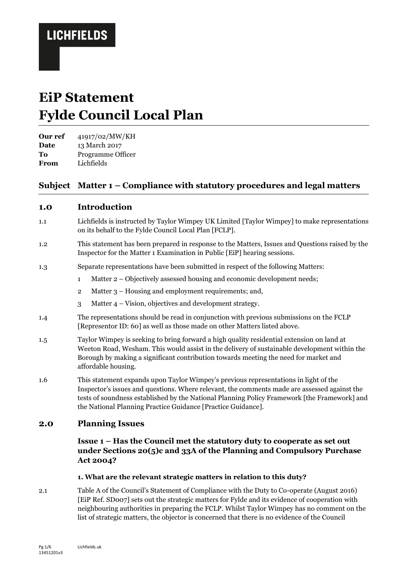# **EiP Statement Fylde Council Local Plan**

**Our ref** 41917/02/MW/KH **Date** 13 March 2017

**To** Programme Officer

**From** Lichfields

## **Subject Matter 1 – Compliance with statutory procedures and legal matters**

### **1.0 Introduction**

- 1.1 Lichfields is instructed by Taylor Wimpey UK Limited [Taylor Wimpey] to make representations on its behalf to the Fylde Council Local Plan [FCLP].
- 1.2 This statement has been prepared in response to the Matters, Issues and Questions raised by the Inspector for the Matter 1 Examination in Public [EiP] hearing sessions.
- 1.3 Separate representations have been submitted in respect of the following Matters:
	- 1 Matter 2 Objectively assessed housing and economic development needs;
	- 2 Matter 3 Housing and employment requirements; and,
	- 3 Matter 4 Vision, objectives and development strategy.
- 1.4 The representations should be read in conjunction with previous submissions on the FCLP [Representor ID: 60] as well as those made on other Matters listed above.
- 1.5 Taylor Wimpey is seeking to bring forward a high quality residential extension on land at Weeton Road, Wesham. This would assist in the delivery of sustainable development within the Borough by making a significant contribution towards meeting the need for market and affordable housing.
- 1.6 This statement expands upon Taylor Wimpey's previous representations in light of the Inspector's issues and questions. Where relevant, the comments made are assessed against the tests of soundness established by the National Planning Policy Framework [the Framework] and the National Planning Practice Guidance [Practice Guidance].

### **2.0 Planning Issues**

### **Issue 1 – Has the Council met the statutory duty to cooperate as set out under Sections 20(5)c and 33A of the Planning and Compulsory Purchase Act 2004?**

#### **1. What are the relevant strategic matters in relation to this duty?**

2.1 Table A of the Council's Statement of Compliance with the Duty to Co-operate (August 2016) [EiP Ref. SD007] sets out the strategic matters for Fylde and its evidence of cooperation with neighbouring authorities in preparing the FCLP. Whilst Taylor Wimpey has no comment on the list of strategic matters, the objector is concerned that there is no evidence of the Council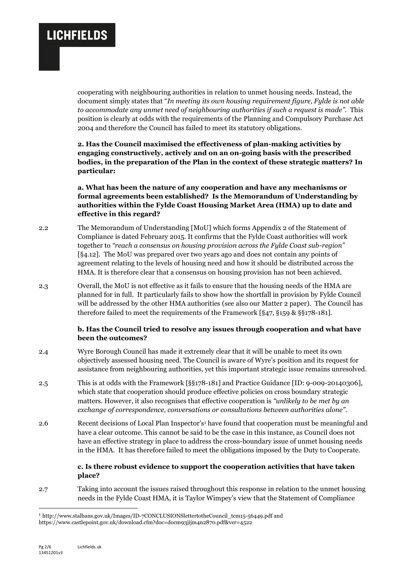cooperating with neighbouring authorities in relation to unmet housing needs. Instead, the document simply states that "*In meeting its own housing requirement figure, Fylde is not able to accommodate any unmet need of neighbouring authorities if such a request is made".* This position is clearly at odds with the requirements of the Planning and Compulsory Purchase Act 2004 and therefore the Council has failed to meet its statutory obligations.

**2. Has the Council maximised the effectiveness of plan-making activities by engaging constructively, actively and on an on-going basis with the prescribed bodies, in the preparation of the Plan in the context of these strategic matters? In particular:**

**a. What has been the nature of any cooperation and have any mechanisms or formal agreements been established? Is the Memorandum of Understanding by authorities within the Fylde Coast Housing Market Area (HMA) up to date and effective in this regard?**

- 2.2 The Memorandum of Understanding [MoU] which forms Appendix 2 of the Statement of Compliance is dated February 2015. It confirms that the Fylde Coast authorities will work together to *"reach a consensus on housing provision across the Fylde Coast sub-region"* [§4.12]. The MoU was prepared over two years ago and does not contain any points of agreement relating to the levels of housing need and how it should be distributed across the HMA. It is therefore clear that a consensus on housing provision has not been achieved.
- 2.3 Overall, the MoU is not effective as it fails to ensure that the housing needs of the HMA are planned for in full. It particularly fails to show how the shortfall in provision by Fylde Council will be addressed by the other HMA authorities (see also our Matter 2 paper). The Council has therefore failed to meet the requirements of the Framework [§47, §159 & §§178-181].

#### **b. Has the Council tried to resolve any issues through cooperation and what have been the outcomes?**

- 2.4 Wyre Borough Council has made it extremely clear that it will be unable to meet its own objectively assessed housing need. The Council is aware of Wyre's position and its request for assistance from neighbouring authorities, yet this important strategic issue remains unresolved.
- 2.5 This is at odds with the Framework [§§178-181] and Practice Guidance [ID: 9-009-20140306], which state that cooperation should produce effective policies on cross boundary strategic matters. However, it also recognises that effective cooperation is *"unlikely to be met by an exchange of correspondence, conversations or consultations between authorities alone"*.
- 2.6 Recent decisions of Local Plan Inspector's<sup>1</sup> have found that cooperation must be meaningful and have a clear outcome. This cannot be said to be the case in this instance, as Council does not have an effective strategy in place to address the cross-boundary issue of unmet housing needs in the HMA. It has therefore failed to meet the obligations imposed by the Duty to Cooperate.

### **c. Is there robust evidence to support the cooperation activities that have taken place?**

2.7 Taking into account the issues raised throughout this response in relation to the unmet housing needs in the Fylde Coast HMA, it is Taylor Wimpey's view that the Statement of Compliance

1

<sup>1</sup> http://www.stalbans.gov.uk/Images/ID-7CONCLUSIONSlettertotheCouncil\_tcm15-56449.pdf and https://www.castlepoint.gov.uk/download.cfm?doc=docm93jijm4n2870.pdf&ver=4522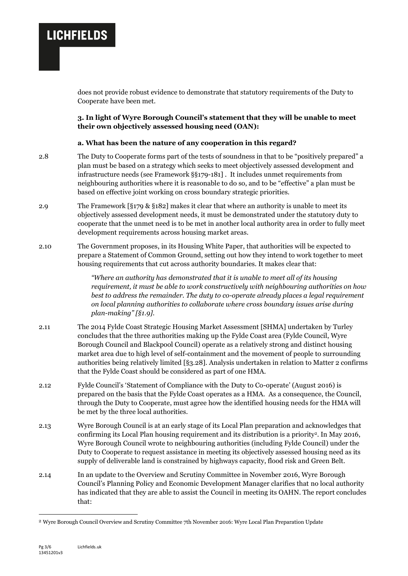does not provide robust evidence to demonstrate that statutory requirements of the Duty to Cooperate have been met.

**3. In light of Wyre Borough Council's statement that they will be unable to meet their own objectively assessed housing need (OAN):**

#### **a. What has been the nature of any cooperation in this regard?**

- 2.8 The Duty to Cooperate forms part of the tests of soundness in that to be "positively prepared" a plan must be based on a strategy which seeks to meet objectively assessed development and infrastructure needs (see Framework §§179-181] . It includes unmet requirements from neighbouring authorities where it is reasonable to do so, and to be "effective" a plan must be based on effective joint working on cross boundary strategic priorities.
- 2.9 The Framework [§179 & §182] makes it clear that where an authority is unable to meet its objectively assessed development needs, it must be demonstrated under the statutory duty to cooperate that the unmet need is to be met in another local authority area in order to fully meet development requirements across housing market areas.
- 2.10 The Government proposes, in its Housing White Paper, that authorities will be expected to prepare a Statement of Common Ground, setting out how they intend to work together to meet housing requirements that cut across authority boundaries. It makes clear that:

*"Where an authority has demonstrated that it is unable to meet all of its housing requirement, it must be able to work constructively with neighbouring authorities on how best to address the remainder. The duty to co-operate already places a legal requirement on local planning authorities to collaborate where cross boundary issues arise during plan-making" [§1.9].*

- 2.11 The 2014 Fylde Coast Strategic Housing Market Assessment [SHMA] undertaken by Turley concludes that the three authorities making up the Fylde Coast area (Fylde Council, Wyre Borough Council and Blackpool Council) operate as a relatively strong and distinct housing market area due to high level of self-containment and the movement of people to surrounding authorities being relatively limited [§3.28]. Analysis undertaken in relation to Matter 2 confirms that the Fylde Coast should be considered as part of one HMA.
- 2.12 Fylde Council's 'Statement of Compliance with the Duty to Co-operate' (August 2016) is prepared on the basis that the Fylde Coast operates as a HMA. As a consequence, the Council, through the Duty to Cooperate, must agree how the identified housing needs for the HMA will be met by the three local authorities.
- 2.13 Wyre Borough Council is at an early stage of its Local Plan preparation and acknowledges that confirming its Local Plan housing requirement and its distribution is a priority2. In May 2016, Wyre Borough Council wrote to neighbouring authorities (including Fylde Council) under the Duty to Cooperate to request assistance in meeting its objectively assessed housing need as its supply of deliverable land is constrained by highways capacity, flood risk and Green Belt.
- 2.14 In an update to the Overview and Scrutiny Committee in November 2016, Wyre Borough Council's Planning Policy and Economic Development Manager clarifies that no local authority has indicated that they are able to assist the Council in meeting its OAHN. The report concludes that:

-

<sup>2</sup> Wyre Borough Council Overview and Scrutiny Committee 7th November 2016: Wyre Local Plan Preparation Update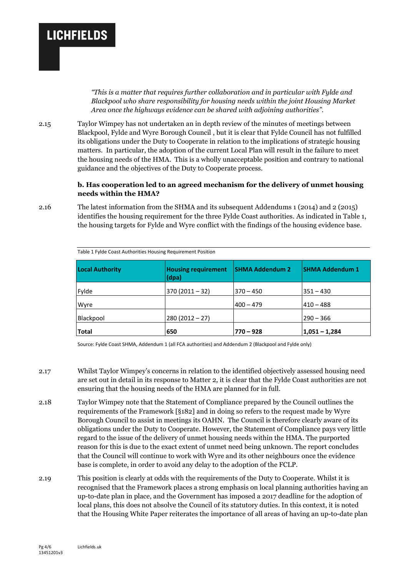*"This is a matter that requires further collaboration and in particular with Fylde and Blackpool who share responsibility for housing needs within the joint Housing Market Area once the highways evidence can be shared with adjoining authorities".*

2.15 Taylor Wimpey has not undertaken an in depth review of the minutes of meetings between Blackpool, Fylde and Wyre Borough Council , but it is clear that Fylde Council has not fulfilled its obligations under the Duty to Cooperate in relation to the implications of strategic housing matters. In particular, the adoption of the current Local Plan will result in the failure to meet the housing needs of the HMA. This is a wholly unacceptable position and contrary to national guidance and the objectives of the Duty to Cooperate process.

#### **b. Has cooperation led to an agreed mechanism for the delivery of unmet housing needs within the HMA?**

2.16 The latest information from the SHMA and its subsequent Addendums 1 (2014) and 2 (2015) identifies the housing requirement for the three Fylde Coast authorities. As indicated in Table 1, the housing targets for Fylde and Wyre conflict with the findings of the housing evidence base.

| <b>Local Authority</b> | <b>Housing requirement</b><br>(dpa) | <b>SHMA Addendum 2</b> | <b>SHMA Addendum 1</b> |
|------------------------|-------------------------------------|------------------------|------------------------|
| Fylde                  | $370(2011-32)$                      | $370 - 450$            | 351 – 430              |
| Wyre                   |                                     | $400 - 479$            | 410 – 488              |
| Blackpool              | $280(2012-27)$                      |                        | $290 - 366$            |
| <b>Total</b>           | 650                                 | $770 - 928$            | $ 1,051 - 1,284$       |

Table 1 Fylde Coast Authorities Housing Requirement Position

Source: Fylde Coast SHMA, Addendum 1 (all FCA authorities) and Addendum 2 (Blackpool and Fylde only)

- 2.17 Whilst Taylor Wimpey's concerns in relation to the identified objectively assessed housing need are set out in detail in its response to Matter 2, it is clear that the Fylde Coast authorities are not ensuring that the housing needs of the HMA are planned for in full.
- 2.18 Taylor Wimpey note that the Statement of Compliance prepared by the Council outlines the requirements of the Framework [§182] and in doing so refers to the request made by Wyre Borough Council to assist in meetings its OAHN. The Council is therefore clearly aware of its obligations under the Duty to Cooperate. However, the Statement of Compliance pays very little regard to the issue of the delivery of unmet housing needs within the HMA. The purported reason for this is due to the exact extent of unmet need being unknown. The report concludes that the Council will continue to work with Wyre and its other neighbours once the evidence base is complete, in order to avoid any delay to the adoption of the FCLP.
- 2.19 This position is clearly at odds with the requirements of the Duty to Cooperate. Whilst it is recognised that the Framework places a strong emphasis on local planning authorities having an up-to-date plan in place, and the Government has imposed a 2017 deadline for the adoption of local plans, this does not absolve the Council of its statutory duties. In this context, it is noted that the Housing White Paper reiterates the importance of all areas of having an up-to-date plan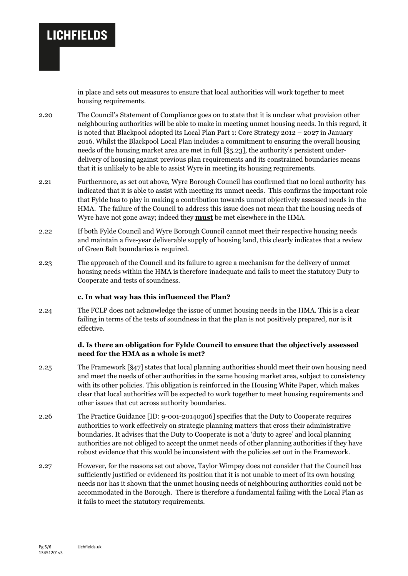in place and sets out measures to ensure that local authorities will work together to meet housing requirements.

- 2.20 The Council's Statement of Compliance goes on to state that it is unclear what provision other neighbouring authorities will be able to make in meeting unmet housing needs. In this regard, it is noted that Blackpool adopted its Local Plan Part 1: Core Strategy 2012 – 2027 in January 2016. Whilst the Blackpool Local Plan includes a commitment to ensuring the overall housing needs of the housing market area are met in full [§5.23], the authority's persistent underdelivery of housing against previous plan requirements and its constrained boundaries means that it is unlikely to be able to assist Wyre in meeting its housing requirements.
- 2.21 Furthermore, as set out above, Wyre Borough Council has confirmed that <u>no local authority</u> has indicated that it is able to assist with meeting its unmet needs. This confirms the important role that Fylde has to play in making a contribution towards unmet objectively assessed needs in the HMA. The failure of the Council to address this issue does not mean that the housing needs of Wyre have not gone away; indeed they **must** be met elsewhere in the HMA.
- 2.22 If both Fylde Council and Wyre Borough Council cannot meet their respective housing needs and maintain a five-year deliverable supply of housing land, this clearly indicates that a review of Green Belt boundaries is required.
- 2.23 The approach of the Council and its failure to agree a mechanism for the delivery of unmet housing needs within the HMA is therefore inadequate and fails to meet the statutory Duty to Cooperate and tests of soundness.

#### **c. In what way has this influenced the Plan?**

2.24 The FCLP does not acknowledge the issue of unmet housing needs in the HMA. This is a clear failing in terms of the tests of soundness in that the plan is not positively prepared, nor is it effective.

#### **d. Is there an obligation for Fylde Council to ensure that the objectively assessed need for the HMA as a whole is met?**

- 2.25 The Framework [§47] states that local planning authorities should meet their own housing need and meet the needs of other authorities in the same housing market area, subject to consistency with its other policies. This obligation is reinforced in the Housing White Paper, which makes clear that local authorities will be expected to work together to meet housing requirements and other issues that cut across authority boundaries.
- 2.26 The Practice Guidance [ID: 9-001-20140306] specifies that the Duty to Cooperate requires authorities to work effectively on strategic planning matters that cross their administrative boundaries. It advises that the Duty to Cooperate is not a 'duty to agree' and local planning authorities are not obliged to accept the unmet needs of other planning authorities if they have robust evidence that this would be inconsistent with the policies set out in the Framework.
- 2.27 However, for the reasons set out above, Taylor Wimpey does not consider that the Council has sufficiently justified or evidenced its position that it is not unable to meet of its own housing needs nor has it shown that the unmet housing needs of neighbouring authorities could not be accommodated in the Borough. There is therefore a fundamental failing with the Local Plan as it fails to meet the statutory requirements.